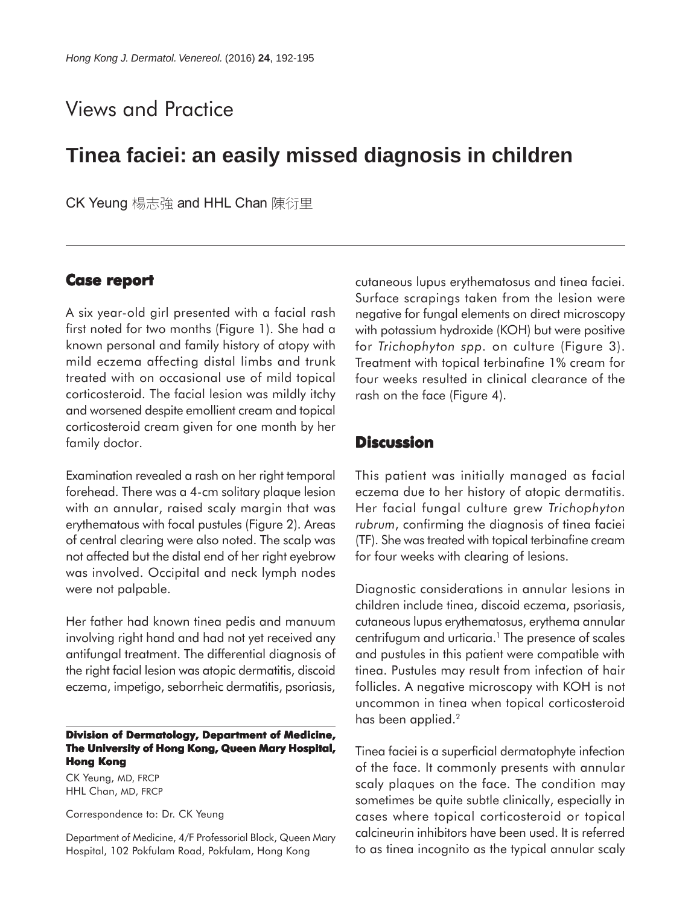# Views and Practice

## **Tinea faciei: an easily missed diagnosis in children**

CK Yeung 楊志強 and HHL Chan 陳衍里

### **Case report report**

A six year-old girl presented with a facial rash first noted for two months (Figure 1). She had a known personal and family history of atopy with mild eczema affecting distal limbs and trunk treated with on occasional use of mild topical corticosteroid. The facial lesion was mildly itchy and worsened despite emollient cream and topical corticosteroid cream given for one month by her family doctor.

Examination revealed a rash on her right temporal forehead. There was a 4-cm solitary plaque lesion with an annular, raised scaly margin that was erythematous with focal pustules (Figure 2). Areas of central clearing were also noted. The scalp was not affected but the distal end of her right eyebrow was involved. Occipital and neck lymph nodes were not palpable.

Her father had known tinea pedis and manuum involving right hand and had not yet received any antifungal treatment. The differential diagnosis of the right facial lesion was atopic dermatitis, discoid eczema, impetigo, seborrheic dermatitis, psoriasis,

#### **Division of Dermatology, Department of Medicine, The University of Hong Kong, Queen Mary Hospital, Hong Kong**

CK Yeung, MD, FRCP HHL Chan, MD, FRCP

Correspondence to: Dr. CK Yeung

Department of Medicine, 4/F Professorial Block, Queen Mary Hospital, 102 Pokfulam Road, Pokfulam, Hong Kong

cutaneous lupus erythematosus and tinea faciei. Surface scrapings taken from the lesion were negative for fungal elements on direct microscopy with potassium hydroxide (KOH) but were positive for *Trichophyton spp.* on culture (Figure 3). Treatment with topical terbinafine 1% cream for four weeks resulted in clinical clearance of the rash on the face (Figure 4).

## **Discussion**

This patient was initially managed as facial eczema due to her history of atopic dermatitis. Her facial fungal culture grew *Trichophyton rubrum*, confirming the diagnosis of tinea faciei (TF). She was treated with topical terbinafine cream for four weeks with clearing of lesions.

Diagnostic considerations in annular lesions in children include tinea, discoid eczema, psoriasis, cutaneous lupus erythematosus, erythema annular centrifugum and urticaria.<sup>1</sup> The presence of scales and pustules in this patient were compatible with tinea. Pustules may result from infection of hair follicles. A negative microscopy with KOH is not uncommon in tinea when topical corticosteroid has been applied.<sup>2</sup>

Tinea faciei is a superficial dermatophyte infection of the face. It commonly presents with annular scaly plaques on the face. The condition may sometimes be quite subtle clinically, especially in cases where topical corticosteroid or topical calcineurin inhibitors have been used. It is referred to as tinea incognito as the typical annular scaly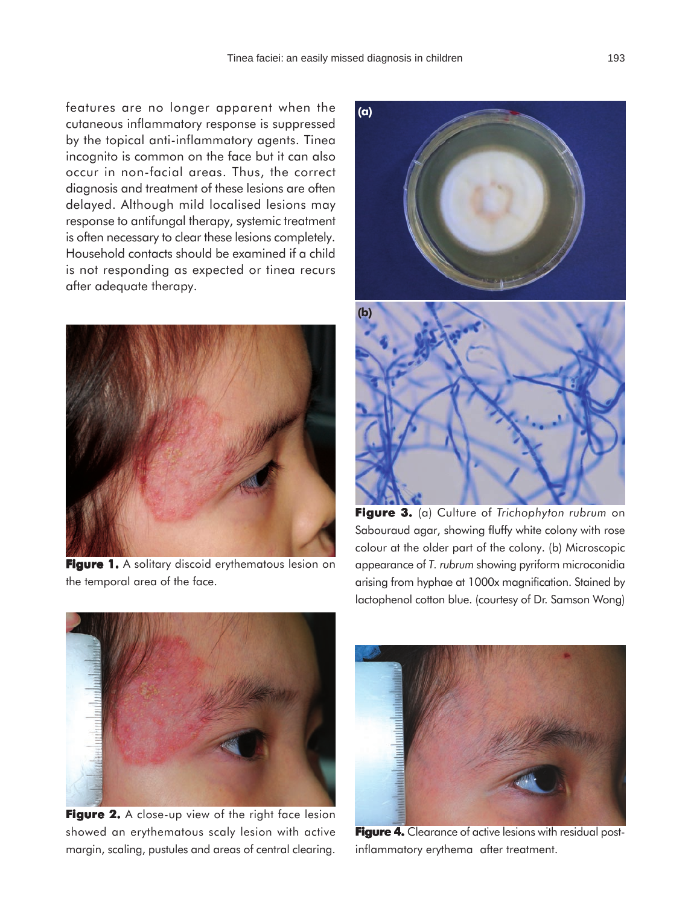features are no longer apparent when the cutaneous inflammatory response is suppressed by the topical anti-inflammatory agents. Tinea incognito is common on the face but it can also occur in non-facial areas. Thus, the correct diagnosis and treatment of these lesions are often delayed. Although mild localised lesions may response to antifungal therapy, systemic treatment is often necessary to clear these lesions completely. Household contacts should be examined if a child is not responding as expected or tinea recurs after adequate therapy.



**Figure 1.** A solitary discoid erythematous lesion on the temporal area of the face.



**Figure 3. 3.** (a) Culture of *Trichophyton rubrum* on Sabouraud agar, showing fluffy white colony with rose colour at the older part of the colony. (b) Microscopic appearance of *T. rubrum* showing pyriform microconidia arising from hyphae at 1000x magnification. Stained by lactophenol cotton blue. (courtesy of Dr. Samson Wong)



**Figure 2.** A close-up view of the right face lesion showed an erythematous scaly lesion with active margin, scaling, pustules and areas of central clearing.



**Figure 4.** Clearance of active lesions with residual postinflammatory erythema after treatment.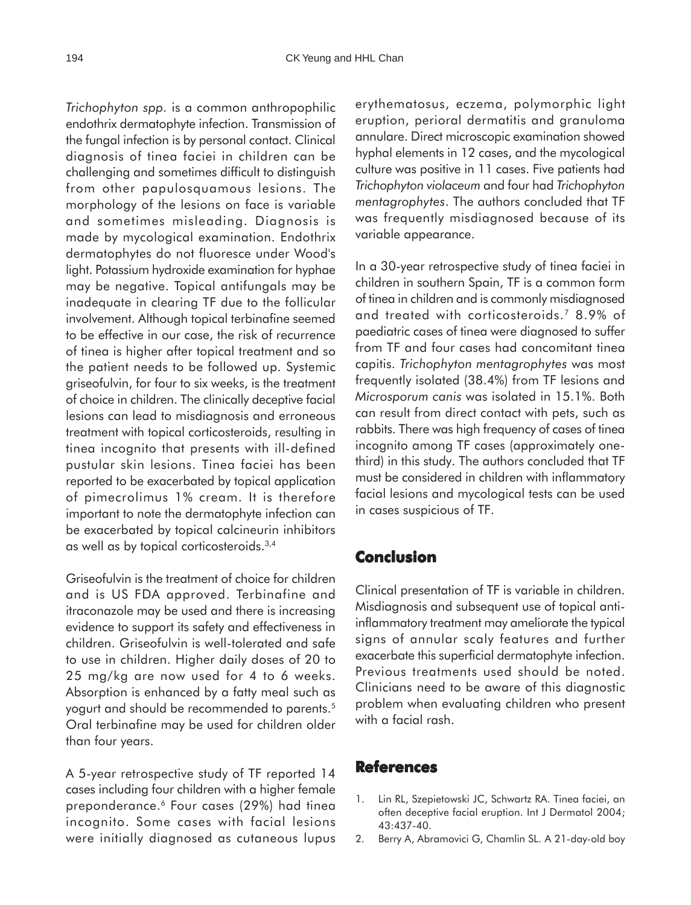*Trichophyton spp.* is a common anthropophilic endothrix dermatophyte infection. Transmission of the fungal infection is by personal contact. Clinical diagnosis of tinea faciei in children can be challenging and sometimes difficult to distinguish from other papulosquamous lesions. The morphology of the lesions on face is variable and sometimes misleading. Diagnosis is made by mycological examination. Endothrix dermatophytes do not fluoresce under Wood's light. Potassium hydroxide examination for hyphae may be negative. Topical antifungals may be inadequate in clearing TF due to the follicular involvement. Although topical terbinafine seemed to be effective in our case, the risk of recurrence of tinea is higher after topical treatment and so the patient needs to be followed up. Systemic griseofulvin, for four to six weeks, is the treatment of choice in children. The clinically deceptive facial lesions can lead to misdiagnosis and erroneous treatment with topical corticosteroids, resulting in tinea incognito that presents with ill-defined pustular skin lesions. Tinea faciei has been reported to be exacerbated by topical application of pimecrolimus 1% cream. It is therefore important to note the dermatophyte infection can be exacerbated by topical calcineurin inhibitors as well as by topical corticosteroids.3,4

Griseofulvin is the treatment of choice for children and is US FDA approved. Terbinafine and itraconazole may be used and there is increasing evidence to support its safety and effectiveness in children. Griseofulvin is well-tolerated and safe to use in children. Higher daily doses of 20 to 25 mg/kg are now used for 4 to 6 weeks. Absorption is enhanced by a fatty meal such as yogurt and should be recommended to parents.<sup>5</sup> Oral terbinafine may be used for children older than four years.

A 5-year retrospective study of TF reported 14 cases including four children with a higher female preponderance.<sup>6</sup> Four cases (29%) had tinea incognito. Some cases with facial lesions were initially diagnosed as cutaneous lupus

erythematosus, eczema, polymorphic light eruption, perioral dermatitis and granuloma annulare. Direct microscopic examination showed hyphal elements in 12 cases, and the mycological culture was positive in 11 cases. Five patients had *Trichophyton violaceum* and four had *Trichophyton mentagrophytes*. The authors concluded that TF was frequently misdiagnosed because of its variable appearance.

In a 30-year retrospective study of tinea faciei in children in southern Spain, TF is a common form of tinea in children and is commonly misdiagnosed and treated with corticosteroids.7 8.9% of paediatric cases of tinea were diagnosed to suffer from TF and four cases had concomitant tinea capitis. *Trichophyton mentagrophytes* was most frequently isolated (38.4%) from TF lesions and *Microsporum canis* was isolated in 15.1%. Both can result from direct contact with pets, such as rabbits. There was high frequency of cases of tinea incognito among TF cases (approximately onethird) in this study. The authors concluded that TF must be considered in children with inflammatory facial lesions and mycological tests can be used in cases suspicious of TF.

## **Conclusion**

Clinical presentation of TF is variable in children. Misdiagnosis and subsequent use of topical antiinflammatory treatment may ameliorate the typical signs of annular scaly features and further exacerbate this superficial dermatophyte infection. Previous treatments used should be noted. Clinicians need to be aware of this diagnostic problem when evaluating children who present with a facial rash.

### **References**

- 1. Lin RL, Szepietowski JC, Schwartz RA. Tinea faciei, an often deceptive facial eruption. Int J Dermatol 2004; 43:437-40.
- 2. Berry A, Abramovici G, Chamlin SL. A 21-day-old boy